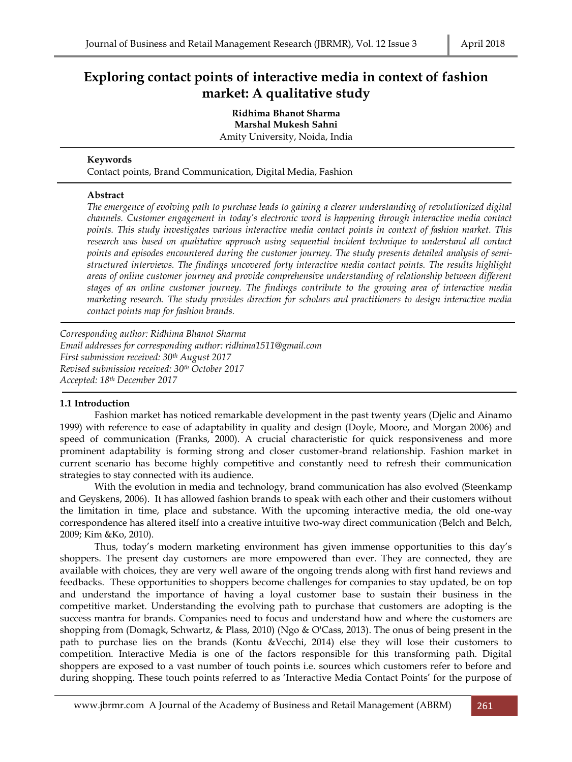# **Exploring contact points of interactive media in context of fashion market: A qualitative study**

**Ridhima Bhanot Sharma Marshal Mukesh Sahni** Amity University, Noida, India

# **Keywords**

Contact points, Brand Communication, Digital Media, Fashion

# **Abstract**

*The emergence of evolving path to purchase leads to gaining a clearer understanding of revolutionized digital channels. Customer engagement in today's electronic word is happening through interactive media contact points. This study investigates various interactive media contact points in context of fashion market. This research was based on qualitative approach using sequential incident technique to understand all contact points and episodes encountered during the customer journey. The study presents detailed analysis of semistructured interviews. The findings uncovered forty interactive media contact points. The results highlight areas of online customer journey and provide comprehensive understanding of relationship between different stages of an online customer journey. The findings contribute to the growing area of interactive media marketing research. The study provides direction for scholars and practitioners to design interactive media contact points map for fashion brands.*

*Corresponding author: Ridhima Bhanot Sharma Email addresses for corresponding author: ridhima1511@gmail.com First submission received: 30th August 2017 Revised submission received: 30th October 2017 Accepted: 18th December 2017*

# **1.1 Introduction**

Fashion market has noticed remarkable development in the past twenty years (Djelic and Ainamo 1999) with reference to ease of adaptability in quality and design (Doyle, Moore, and Morgan 2006) and speed of communication (Franks, 2000). A crucial characteristic for quick responsiveness and more prominent adaptability is forming strong and closer customer-brand relationship. Fashion market in current scenario has become highly competitive and constantly need to refresh their communication strategies to stay connected with its audience.

With the evolution in media and technology, brand communication has also evolved (Steenkamp and Geyskens, 2006). It has allowed fashion brands to speak with each other and their customers without the limitation in time, place and substance. With the upcoming interactive media, the old one‐way correspondence has altered itself into a creative intuitive two-way direct communication (Belch and Belch, 2009; Kim &Ko, 2010).

Thus, today's modern marketing environment has given immense opportunities to this day's shoppers. The present day customers are more empowered than ever. They are connected, they are available with choices, they are very well aware of the ongoing trends along with first hand reviews and feedbacks. These opportunities to shoppers become challenges for companies to stay updated, be on top and understand the importance of having a loyal customer base to sustain their business in the competitive market. Understanding the evolving path to purchase that customers are adopting is the success mantra for brands. Companies need to focus and understand how and where the customers are shopping from (Domagk, Schwartz, & Plass, 2010) (Ngo & O'Cass, 2013). The onus of being present in the path to purchase lies on the brands (Kontu &Vecchi, 2014) else they will lose their customers to competition. Interactive Media is one of the factors responsible for this transforming path. Digital shoppers are exposed to a vast number of touch points i.e. sources which customers refer to before and during shopping. These touch points referred to as 'Interactive Media Contact Points' for the purpose of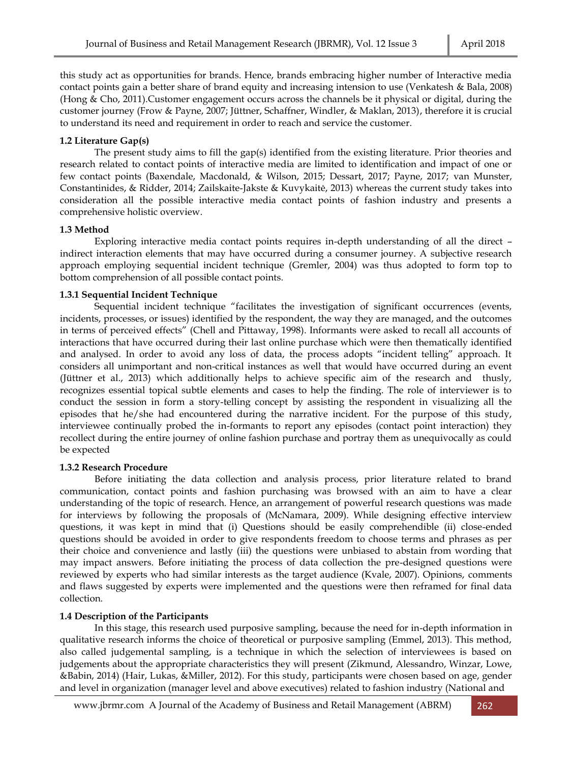this study act as opportunities for brands. Hence, brands embracing higher number of Interactive media contact points gain a better share of brand equity and increasing intension to use (Venkatesh & Bala, 2008) (Hong & Cho, 2011).Customer engagement occurs across the channels be it physical or digital, during the customer journey (Frow & Payne, 2007; Jüttner, Schaffner, Windler, & Maklan, 2013), therefore it is crucial to understand its need and requirement in order to reach and service the customer.

## **1.2 Literature Gap(s)**

The present study aims to fill the gap(s) identified from the existing literature. Prior theories and research related to contact points of interactive media are limited to identification and impact of one or few contact points (Baxendale, Macdonald, & Wilson, 2015; Dessart, 2017; Payne, 2017; van Munster, Constantinides, & Ridder, 2014; Zailskaite-Jakste & Kuvykaitė, 2013) whereas the current study takes into consideration all the possible interactive media contact points of fashion industry and presents a comprehensive holistic overview.

#### **1.3 Method**

Exploring interactive media contact points requires in-depth understanding of all the direct – indirect interaction elements that may have occurred during a consumer journey. A subjective research approach employing sequential incident technique (Gremler, 2004) was thus adopted to form top to bottom comprehension of all possible contact points.

#### **1.3.1 Sequential Incident Technique**

Sequential incident technique "facilitates the investigation of significant occurrences (events, incidents, processes, or issues) identified by the respondent, the way they are managed, and the outcomes in terms of perceived effects" (Chell and Pittaway, 1998). Informants were asked to recall all accounts of interactions that have occurred during their last online purchase which were then thematically identified and analysed. In order to avoid any loss of data, the process adopts "incident telling" approach. It considers all unimportant and non-critical instances as well that would have occurred during an event (Jüttner et al., 2013) which additionally helps to achieve specific aim of the research and thusly, recognizes essential topical subtle elements and cases to help the finding. The role of interviewer is to conduct the session in form a story-telling concept by assisting the respondent in visualizing all the episodes that he/she had encountered during the narrative incident. For the purpose of this study, interviewee continually probed the in-formants to report any episodes (contact point interaction) they recollect during the entire journey of online fashion purchase and portray them as unequivocally as could be expected

#### **1.3.2 Research Procedure**

Before initiating the data collection and analysis process, prior literature related to brand communication, contact points and fashion purchasing was browsed with an aim to have a clear understanding of the topic of research. Hence, an arrangement of powerful research questions was made for interviews by following the proposals of (McNamara, 2009). While designing effective interview questions, it was kept in mind that (i) Questions should be easily comprehendible (ii) close-ended questions should be avoided in order to give respondents freedom to choose terms and phrases as per their choice and convenience and lastly (iii) the questions were unbiased to abstain from wording that may impact answers. Before initiating the process of data collection the pre-designed questions were reviewed by experts who had similar interests as the target audience (Kvale, 2007). Opinions, comments and flaws suggested by experts were implemented and the questions were then reframed for final data collection.

#### **1.4 Description of the Participants**

In this stage, this research used purposive sampling, because the need for in-depth information in qualitative research informs the choice of theoretical or purposive sampling (Emmel, 2013). This method, also called judgemental sampling, is a technique in which the selection of interviewees is based on judgements about the appropriate characteristics they will present (Zikmund, Alessandro, Winzar, Lowe, &Babin, 2014) (Hair, Lukas, &Miller, 2012). For this study, participants were chosen based on age, gender and level in organization (manager level and above executives) related to fashion industry (National and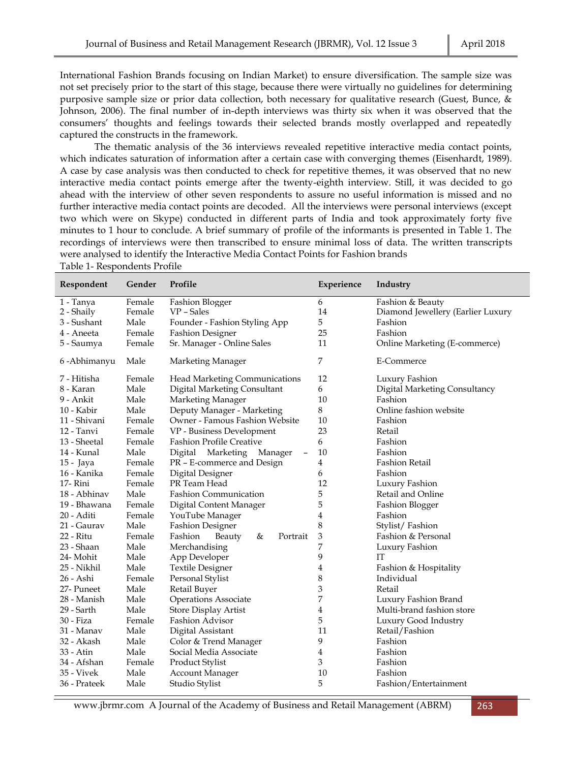International Fashion Brands focusing on Indian Market) to ensure diversification. The sample size was not set precisely prior to the start of this stage, because there were virtually no guidelines for determining purposive sample size or prior data collection, both necessary for qualitative research (Guest, Bunce, & Johnson, 2006). The final number of in-depth interviews was thirty six when it was observed that the consumers' thoughts and feelings towards their selected brands mostly overlapped and repeatedly captured the constructs in the framework.

The thematic analysis of the 36 interviews revealed repetitive interactive media contact points, which indicates saturation of information after a certain case with converging themes (Eisenhardt, 1989). A case by case analysis was then conducted to check for repetitive themes, it was observed that no new interactive media contact points emerge after the twenty-eighth interview. Still, it was decided to go ahead with the interview of other seven respondents to assure no useful information is missed and no further interactive media contact points are decoded. All the interviews were personal interviews (except two which were on Skype) conducted in different parts of India and took approximately forty five minutes to 1 hour to conclude. A brief summary of profile of the informants is presented in Table 1. The recordings of interviews were then transcribed to ensure minimal loss of data. The written transcripts were analysed to identify the Interactive Media Contact Points for Fashion brands Table 1- Respondents Profile

| Respondent    | Gender | Profile                                              | Experience | Industry                          |
|---------------|--------|------------------------------------------------------|------------|-----------------------------------|
| 1 - Tanya     | Female | <b>Fashion Blogger</b>                               | 6          | Fashion & Beauty                  |
| 2 - Shaily    | Female | VP - Sales                                           | 14         | Diamond Jewellery (Earlier Luxury |
| 3 - Sushant   | Male   | Founder - Fashion Styling App                        | 5          | Fashion                           |
| 4 - Aneeta    | Female | <b>Fashion Designer</b>                              | 25         | Fashion                           |
| 5 - Saumya    | Female | Sr. Manager - Online Sales                           | 11         | Online Marketing (E-commerce)     |
| 6 - Abhimanyu | Male   | Marketing Manager                                    | 7          | E-Commerce                        |
| 7 - Hitisha   | Female | <b>Head Marketing Communications</b>                 | 12         | Luxury Fashion                    |
| 8 - Karan     | Male   | Digital Marketing Consultant                         | 6          | Digital Marketing Consultancy     |
| 9 - Ankit     | Male   | Marketing Manager                                    | 10         | Fashion                           |
| 10 - Kabir    | Male   | Deputy Manager - Marketing                           | 8          | Online fashion website            |
| 11 - Shivani  | Female | Owner - Famous Fashion Website                       | 10         | Fashion                           |
| 12 - Tanvi    | Female | VP - Business Development                            | 23         | Retail                            |
| 13 - Sheetal  | Female | <b>Fashion Profile Creative</b>                      | 6          | Fashion                           |
| 14 - Kunal    | Male   | Marketing<br>Manager<br>Digital<br>$\qquad \qquad -$ | 10         | Fashion                           |
| 15 - Jaya     | Female | PR - E-commerce and Design                           | 4          | <b>Fashion Retail</b>             |
| 16 - Kanika   | Female | Digital Designer                                     | 6          | Fashion                           |
| 17-Rini       | Female | PR Team Head                                         | 12         | Luxury Fashion                    |
| 18 - Abhinav  | Male   | <b>Fashion Communication</b>                         | 5          | Retail and Online                 |
| 19 - Bhawana  | Female | Digital Content Manager                              | 5          | <b>Fashion Blogger</b>            |
| 20 - Aditi    | Female | YouTube Manager                                      | 4          | Fashion                           |
| 21 - Gaurav   | Male   | <b>Fashion Designer</b>                              | 8          | Stylist/Fashion                   |
| 22 - Ritu     | Female | Fashion<br>&<br>Portrait<br>Beauty                   | 3          | Fashion & Personal                |
| 23 - Shaan    | Male   | Merchandising                                        | 7          | Luxury Fashion                    |
| 24- Mohit     | Male   | App Developer                                        | 9          | IT                                |
| 25 - Nikhil   | Male   | <b>Textile Designer</b>                              | 4          | Fashion & Hospitality             |
| 26 - Ashi     | Female | Personal Stylist                                     | 8          | Individual                        |
| 27- Puneet    | Male   | Retail Buyer                                         | 3          | Retail                            |
| 28 - Manish   | Male   | <b>Operations Associate</b>                          | 7          | Luxury Fashion Brand              |
| 29 - Sarth    | Male   | <b>Store Display Artist</b>                          | 4          | Multi-brand fashion store         |
| 30 - Fiza     | Female | Fashion Advisor                                      | 5          | Luxury Good Industry              |
| 31 - Manav    | Male   | Digital Assistant                                    | 11         | Retail/Fashion                    |
| 32 - Akash    | Male   | Color & Trend Manager                                | 9          | Fashion                           |
| 33 - Atin     | Male   | Social Media Associate                               | 4          | Fashion                           |
| 34 - Afshan   | Female | Product Stylist                                      | 3          | Fashion                           |
| 35 - Vivek    | Male   | <b>Account Manager</b>                               | 10         | Fashion                           |
| 36 - Prateek  | Male   | Studio Stylist                                       | 5          | Fashion/Entertainment             |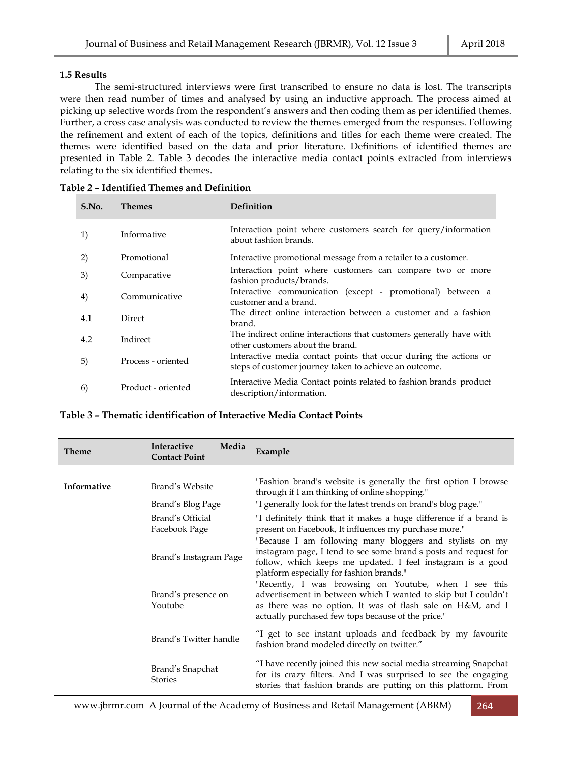## **1.5 Results**

The semi-structured interviews were first transcribed to ensure no data is lost. The transcripts were then read number of times and analysed by using an inductive approach. The process aimed at picking up selective words from the respondent's answers and then coding them as per identified themes. Further, a cross case analysis was conducted to review the themes emerged from the responses. Following the refinement and extent of each of the topics, definitions and titles for each theme were created. The themes were identified based on the data and prior literature. Definitions of identified themes are presented in Table 2. Table 3 decodes the interactive media contact points extracted from interviews relating to the six identified themes.

| S.No. | <b>Themes</b>      | <b>Definition</b>                                                                                                           |
|-------|--------------------|-----------------------------------------------------------------------------------------------------------------------------|
| 1)    | Informative        | Interaction point where customers search for query/information<br>about fashion brands.                                     |
| 2)    | Promotional        | Interactive promotional message from a retailer to a customer.                                                              |
| 3)    | Comparative        | Interaction point where customers can compare two or more<br>fashion products/brands.                                       |
| 4)    | Communicative      | Interactive communication (except - promotional) between a<br>customer and a brand.                                         |
| 4.1   | <b>Direct</b>      | The direct online interaction between a customer and a fashion<br>brand.                                                    |
| 4.2   | Indirect           | The indirect online interactions that customers generally have with<br>other customers about the brand.                     |
| 5)    | Process - oriented | Interactive media contact points that occur during the actions or<br>steps of customer journey taken to achieve an outcome. |
| 6)    | Product - oriented | Interactive Media Contact points related to fashion brands' product<br>description/information.                             |

| <b>Theme</b>       | Interactive<br>Media<br><b>Contact Point</b>                                         | Example                                                                                                                                                                                                                                |
|--------------------|--------------------------------------------------------------------------------------|----------------------------------------------------------------------------------------------------------------------------------------------------------------------------------------------------------------------------------------|
|                    |                                                                                      |                                                                                                                                                                                                                                        |
| <b>Informative</b> | Brand's Website                                                                      | "Fashion brand's website is generally the first option I browse<br>through if I am thinking of online shopping."                                                                                                                       |
|                    | Brand's Blog Page                                                                    | "I generally look for the latest trends on brand's blog page."                                                                                                                                                                         |
|                    | Brand's Official<br>Facebook Page                                                    | "I definitely think that it makes a huge difference if a brand is<br>present on Facebook, It influences my purchase more."                                                                                                             |
|                    | Brand's Instagram Page                                                               | "Because I am following many bloggers and stylists on my<br>instagram page, I tend to see some brand's posts and request for<br>follow, which keeps me updated. I feel instagram is a good<br>platform especially for fashion brands." |
|                    | Brand's presence on<br>Youtube<br>actually purchased few tops because of the price." | "Recently, I was browsing on Youtube, when I see this<br>advertisement in between which I wanted to skip but I couldn't<br>as there was no option. It was of flash sale on H&M, and I                                                  |
|                    | Brand's Twitter handle                                                               | "I get to see instant uploads and feedback by my favourite<br>fashion brand modeled directly on twitter."                                                                                                                              |
|                    | Brand's Snapchat<br><b>Stories</b>                                                   | "I have recently joined this new social media streaming Snapchat<br>for its crazy filters. And I was surprised to see the engaging<br>stories that fashion brands are putting on this platform. From                                   |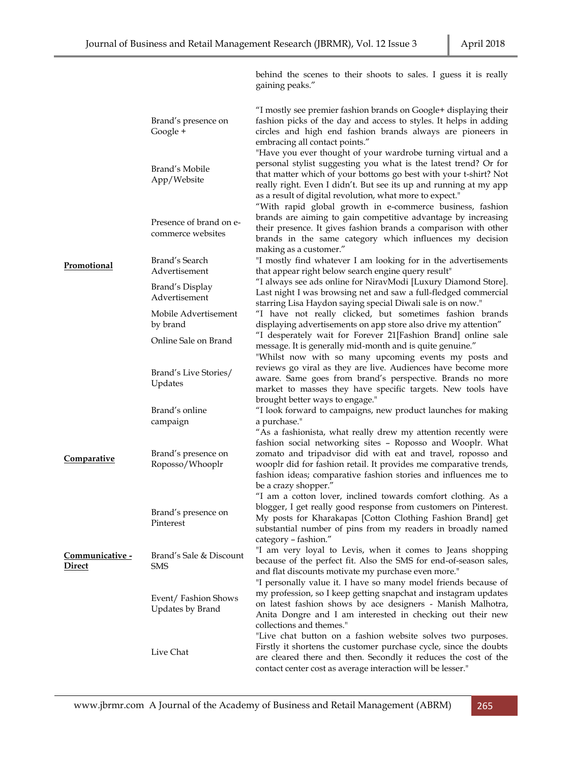|                           |                                              | behind the scenes to their shoots to sales. I guess it is really<br>gaining peaks."                                                                                                                                                                                                                                                                                                                 |  |
|---------------------------|----------------------------------------------|-----------------------------------------------------------------------------------------------------------------------------------------------------------------------------------------------------------------------------------------------------------------------------------------------------------------------------------------------------------------------------------------------------|--|
|                           | Brand's presence on<br>Google +              | "I mostly see premier fashion brands on Google+ displaying their<br>fashion picks of the day and access to styles. It helps in adding<br>circles and high end fashion brands always are pioneers in<br>embracing all contact points."                                                                                                                                                               |  |
|                           | Brand's Mobile<br>App/Website                | "Have you ever thought of your wardrobe turning virtual and a<br>personal stylist suggesting you what is the latest trend? Or for<br>that matter which of your bottoms go best with your t-shirt? Not<br>really right. Even I didn't. But see its up and running at my app<br>as a result of digital revolution, what more to expect."<br>"With rapid global growth in e-commerce business, fashion |  |
|                           | Presence of brand on e-<br>commerce websites | brands are aiming to gain competitive advantage by increasing<br>their presence. It gives fashion brands a comparison with other<br>brands in the same category which influences my decision<br>making as a customer."                                                                                                                                                                              |  |
| <b>Promotional</b>        | Brand's Search<br>Advertisement              | "I mostly find whatever I am looking for in the advertisements<br>that appear right below search engine query result"                                                                                                                                                                                                                                                                               |  |
|                           | Brand's Display<br>Advertisement             | "I always see ads online for NiravModi [Luxury Diamond Store].<br>Last night I was browsing net and saw a full-fledged commercial<br>starring Lisa Haydon saying special Diwali sale is on now."                                                                                                                                                                                                    |  |
|                           | Mobile Advertisement<br>by brand             | "I have not really clicked, but sometimes fashion brands<br>displaying advertisements on app store also drive my attention"                                                                                                                                                                                                                                                                         |  |
|                           | Online Sale on Brand                         | "I desperately wait for Forever 21[Fashion Brand] online sale<br>message. It is generally mid-month and is quite genuine."<br>"Whilst now with so many upcoming events my posts and                                                                                                                                                                                                                 |  |
|                           | Brand's Live Stories/<br>Updates             | reviews go viral as they are live. Audiences have become more<br>aware. Same goes from brand's perspective. Brands no more<br>market to masses they have specific targets. New tools have                                                                                                                                                                                                           |  |
|                           | Brand's online<br>campaign                   | brought better ways to engage."<br>"I look forward to campaigns, new product launches for making<br>a purchase."<br>"As a fashionista, what really drew my attention recently were                                                                                                                                                                                                                  |  |
| Comparative               | Brand's presence on<br>Roposso/Whooplr       | fashion social networking sites - Roposso and Wooplr. What<br>zomato and tripadvisor did with eat and travel, roposso and<br>wooplr did for fashion retail. It provides me comparative trends,<br>fashion ideas; comparative fashion stories and influences me to<br>be a crazy shopper."                                                                                                           |  |
|                           | Brand's presence on<br>Pinterest             | "I am a cotton lover, inclined towards comfort clothing. As a<br>blogger, I get really good response from customers on Pinterest.<br>My posts for Kharakapas [Cotton Clothing Fashion Brand] get<br>substantial number of pins from my readers in broadly named<br>category - fashion."                                                                                                             |  |
| Communicative -<br>Direct | Brand's Sale & Discount<br>SMS               | "I am very loyal to Levis, when it comes to Jeans shopping<br>because of the perfect fit. Also the SMS for end-of-season sales,<br>and flat discounts motivate my purchase even more."                                                                                                                                                                                                              |  |
|                           | Event/Fashion Shows<br>Updates by Brand      | "I personally value it. I have so many model friends because of<br>my profession, so I keep getting snapchat and instagram updates<br>on latest fashion shows by ace designers - Manish Malhotra,<br>Anita Dongre and I am interested in checking out their new<br>collections and themes."                                                                                                         |  |
|                           | Live Chat                                    | "Live chat button on a fashion website solves two purposes.<br>Firstly it shortens the customer purchase cycle, since the doubts<br>are cleared there and then. Secondly it reduces the cost of the<br>contact center cost as average interaction will be lesser."                                                                                                                                  |  |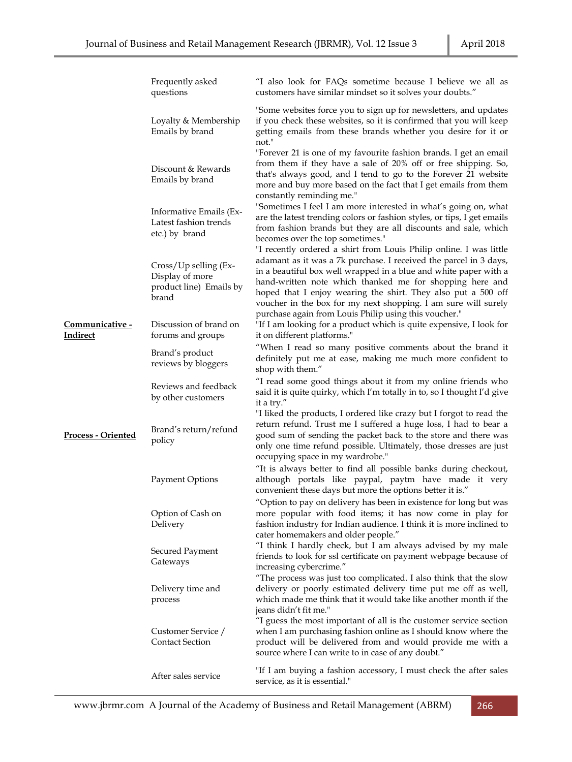|                                    | Frequently asked<br>questions                                                    | "I also look for FAQs sometime because I believe we all as<br>customers have similar mindset so it solves your doubts."                                                                                                                                                                                                              |
|------------------------------------|----------------------------------------------------------------------------------|--------------------------------------------------------------------------------------------------------------------------------------------------------------------------------------------------------------------------------------------------------------------------------------------------------------------------------------|
|                                    | Loyalty & Membership<br>Emails by brand                                          | "Some websites force you to sign up for newsletters, and updates<br>if you check these websites, so it is confirmed that you will keep<br>getting emails from these brands whether you desire for it or<br>not."                                                                                                                     |
|                                    | Discount & Rewards<br>Emails by brand                                            | "Forever 21 is one of my favourite fashion brands. I get an email<br>from them if they have a sale of 20% off or free shipping. So,<br>that's always good, and I tend to go to the Forever 21 website<br>more and buy more based on the fact that I get emails from them<br>constantly reminding me."                                |
|                                    | Informative Emails (Ex-<br>Latest fashion trends<br>etc.) by brand               | "Sometimes I feel I am more interested in what's going on, what<br>are the latest trending colors or fashion styles, or tips, I get emails<br>from fashion brands but they are all discounts and sale, which<br>becomes over the top sometimes."<br>"I recently ordered a shirt from Louis Philip online. I was little               |
|                                    | $Cross/Up$ selling $(EX-$<br>Display of more<br>product line) Emails by<br>brand | adamant as it was a 7k purchase. I received the parcel in 3 days,<br>in a beautiful box well wrapped in a blue and white paper with a<br>hand-written note which thanked me for shopping here and<br>hoped that I enjoy wearing the shirt. They also put a 500 off<br>voucher in the box for my next shopping. I am sure will surely |
| Communicative -<br><u>Indirect</u> | Discussion of brand on<br>forums and groups                                      | purchase again from Louis Philip using this voucher."<br>"If I am looking for a product which is quite expensive, I look for<br>it on different platforms."                                                                                                                                                                          |
|                                    | Brand's product<br>reviews by bloggers                                           | "When I read so many positive comments about the brand it<br>definitely put me at ease, making me much more confident to<br>shop with them."                                                                                                                                                                                         |
|                                    | Reviews and feedback<br>by other customers                                       | "I read some good things about it from my online friends who<br>said it is quite quirky, which I'm totally in to, so I thought I'd give<br>it a try."                                                                                                                                                                                |
| <b>Process - Oriented</b>          | Brand's return/refund<br>policy                                                  | "I liked the products, I ordered like crazy but I forgot to read the<br>return refund. Trust me I suffered a huge loss, I had to bear a<br>good sum of sending the packet back to the store and there was<br>only one time refund possible. Ultimately, those dresses are just<br>occupying space in my wardrobe."                   |
|                                    | Payment Options                                                                  | "It is always better to find all possible banks during checkout,<br>although portals like paypal, paytm have made it very<br>convenient these days but more the options better it is."                                                                                                                                               |
|                                    | Option of Cash on<br>Delivery                                                    | "Option to pay on delivery has been in existence for long but was<br>more popular with food items; it has now come in play for<br>fashion industry for Indian audience. I think it is more inclined to<br>cater homemakers and older people."                                                                                        |
|                                    | Secured Payment<br>Gateways                                                      | "I think I hardly check, but I am always advised by my male<br>friends to look for ssl certificate on payment webpage because of<br>increasing cybercrime."                                                                                                                                                                          |
|                                    | Delivery time and<br>process                                                     | "The process was just too complicated. I also think that the slow<br>delivery or poorly estimated delivery time put me off as well,<br>which made me think that it would take like another month if the<br>jeans didn't fit me."                                                                                                     |
|                                    | Customer Service /<br><b>Contact Section</b>                                     | "I guess the most important of all is the customer service section<br>when I am purchasing fashion online as I should know where the<br>product will be delivered from and would provide me with a<br>source where I can write to in case of any doubt."                                                                             |
|                                    | After sales service                                                              | "If I am buying a fashion accessory, I must check the after sales<br>service, as it is essential."                                                                                                                                                                                                                                   |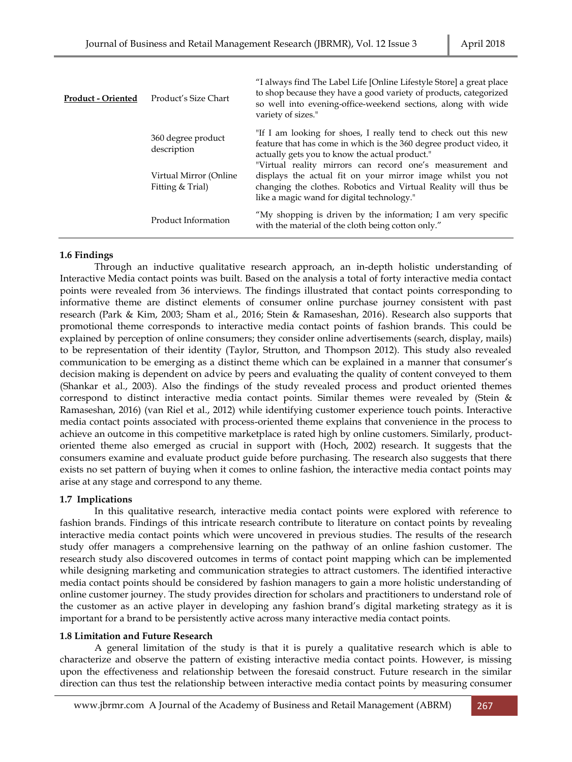| <b>Product - Oriented</b> | Product's Size Chart                       | "I always find The Label Life [Online Lifestyle Store] a great place<br>to shop because they have a good variety of products, categorized<br>so well into evening-office-weekend sections, along with wide<br>variety of sizes."          |
|---------------------------|--------------------------------------------|-------------------------------------------------------------------------------------------------------------------------------------------------------------------------------------------------------------------------------------------|
|                           | 360 degree product<br>description          | "If I am looking for shoes, I really tend to check out this new<br>feature that has come in which is the 360 degree product video, it<br>actually gets you to know the actual product."                                                   |
|                           | Virtual Mirror (Online<br>Fitting & Trial) | "Virtual reality mirrors can record one's measurement and<br>displays the actual fit on your mirror image whilst you not<br>changing the clothes. Robotics and Virtual Reality will thus be<br>like a magic wand for digital technology." |
|                           | Product Information                        | "My shopping is driven by the information; I am very specific<br>with the material of the cloth being cotton only."                                                                                                                       |

# **1.6 Findings**

Through an inductive qualitative research approach, an in-depth holistic understanding of Interactive Media contact points was built. Based on the analysis a total of forty interactive media contact points were revealed from 36 interviews. The findings illustrated that contact points corresponding to informative theme are distinct elements of consumer online purchase journey consistent with past research (Park & Kim, 2003; Sham et al., 2016; Stein & Ramaseshan, 2016). Research also supports that promotional theme corresponds to interactive media contact points of fashion brands. This could be explained by perception of online consumers; they consider online advertisements (search, display, mails) to be representation of their identity (Taylor, Strutton, and Thompson 2012). This study also revealed communication to be emerging as a distinct theme which can be explained in a manner that consumer's decision making is dependent on advice by peers and evaluating the quality of content conveyed to them (Shankar et al., 2003). Also the findings of the study revealed process and product oriented themes correspond to distinct interactive media contact points. Similar themes were revealed by (Stein & Ramaseshan, 2016) (van Riel et al., 2012) while identifying customer experience touch points. Interactive media contact points associated with process-oriented theme explains that convenience in the process to achieve an outcome in this competitive marketplace is rated high by online customers. Similarly, productoriented theme also emerged as crucial in support with (Hoch, 2002) research. It suggests that the consumers examine and evaluate product guide before purchasing. The research also suggests that there exists no set pattern of buying when it comes to online fashion, the interactive media contact points may arise at any stage and correspond to any theme.

# **1.7 Implications**

In this qualitative research, interactive media contact points were explored with reference to fashion brands. Findings of this intricate research contribute to literature on contact points by revealing interactive media contact points which were uncovered in previous studies. The results of the research study offer managers a comprehensive learning on the pathway of an online fashion customer. The research study also discovered outcomes in terms of contact point mapping which can be implemented while designing marketing and communication strategies to attract customers. The identified interactive media contact points should be considered by fashion managers to gain a more holistic understanding of online customer journey. The study provides direction for scholars and practitioners to understand role of the customer as an active player in developing any fashion brand's digital marketing strategy as it is important for a brand to be persistently active across many interactive media contact points.

# **1.8 Limitation and Future Research**

A general limitation of the study is that it is purely a qualitative research which is able to characterize and observe the pattern of existing interactive media contact points. However, is missing upon the effectiveness and relationship between the foresaid construct. Future research in the similar direction can thus test the relationship between interactive media contact points by measuring consumer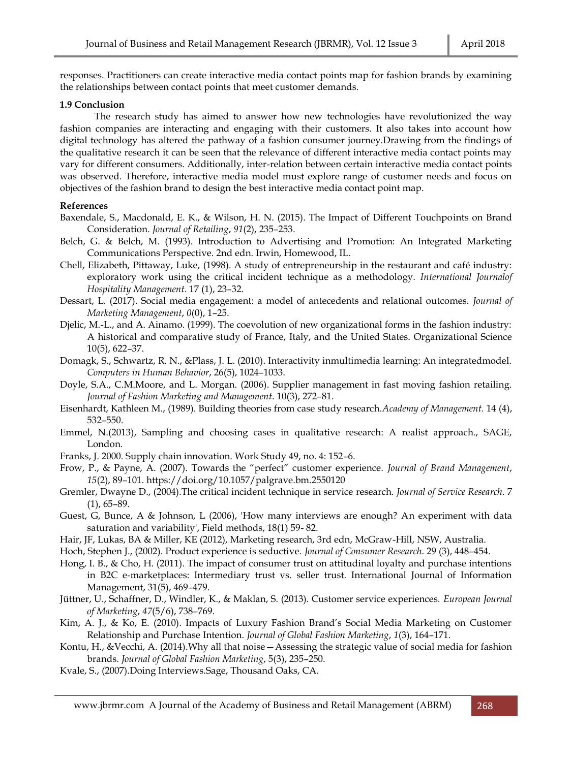responses. Practitioners can create interactive media contact points map for fashion brands by examining the relationships between contact points that meet customer demands.

# **1.9 Conclusion**

The research study has aimed to answer how new technologies have revolutionized the way fashion companies are interacting and engaging with their customers. It also takes into account how digital technology has altered the pathway of a fashion consumer journey.Drawing from the findings of the qualitative research it can be seen that the relevance of different interactive media contact points may vary for different consumers. Additionally, inter-relation between certain interactive media contact points was observed. Therefore, interactive media model must explore range of customer needs and focus on objectives of the fashion brand to design the best interactive media contact point map.

## **References**

- Baxendale, S., Macdonald, E. K., & Wilson, H. N. (2015). The Impact of Different Touchpoints on Brand Consideration. *Journal of Retailing*, *91*(2), 235–253.
- Belch, G. & Belch, M. (1993). Introduction to Advertising and Promotion: An Integrated Marketing Communications Perspective. 2nd edn. Irwin, Homewood, IL.
- Chell, Elizabeth, Pittaway, Luke, (1998). A study of entrepreneurship in the restaurant and café industry: exploratory work using the critical incident technique as a methodology. *International Journalof Hospitality Management*. 17 (1), 23–32.
- Dessart, L. (2017). Social media engagement: a model of antecedents and relational outcomes. *Journal of Marketing Management*, *0*(0), 1–25.
- Djelic, M.-L., and A. Ainamo. (1999). The coevolution of new organizational forms in the fashion industry: A historical and comparative study of France, Italy, and the United States. Organizational Science 10(5), 622–37.
- Domagk, S., Schwartz, R. N., &Plass, J. L. (2010). Interactivity inmultimedia learning: An integratedmodel. *Computers in Human Behavior*, 26(5), 1024–1033.
- Doyle, S.A., C.M.Moore, and L. Morgan. (2006). Supplier management in fast moving fashion retailing. *Journal of Fashion Marketing and Management*. 10(3), 272–81.
- Eisenhardt, Kathleen M., (1989). Building theories from case study research.*Academy of Management.* 14 (4), 532–550.
- Emmel, N.(2013), Sampling and choosing cases in qualitative research: A realist approach., SAGE, London.
- Franks, J. 2000. Supply chain innovation. Work Study 49, no. 4: 152–6.
- Frow, P., & Payne, A. (2007). Towards the "perfect" customer experience. *Journal of Brand Management*, *15*(2), 89–101. https://doi.org/10.1057/palgrave.bm.2550120
- Gremler, Dwayne D., (2004).The critical incident technique in service research. *Journal of Service Research*. 7  $(1)$ , 65–89.
- Guest, G, Bunce, A & Johnson, L (2006), 'How many interviews are enough? An experiment with data saturation and variability', Field methods, 18(1) 59- 82.
- Hair, JF, Lukas, BA & Miller, KE (2012), Marketing research, 3rd edn, McGraw-Hill, NSW, Australia.
- Hoch, Stephen J., (2002). Product experience is seductive. *Journal of Consumer Research*. 29 (3), 448–454.
- Hong, I. B., & Cho, H. (2011). The impact of consumer trust on attitudinal loyalty and purchase intentions in B2C e-marketplaces: Intermediary trust vs. seller trust. International Journal of Information Management, 31(5), 469–479.
- Jüttner, U., Schaffner, D., Windler, K., & Maklan, S. (2013). Customer service experiences. *European Journal of Marketing*, *47*(5/6), 738–769.
- Kim, A. J., & Ko, E. (2010). Impacts of Luxury Fashion Brand's Social Media Marketing on Customer Relationship and Purchase Intention. *Journal of Global Fashion Marketing*, *1*(3), 164–171.
- Kontu, H., &Vecchi, A. (2014).Why all that noise—Assessing the strategic value of social media for fashion brands. *Journal of Global Fashion Marketing*, 5(3), 235–250.
- Kvale, S., (2007).Doing Interviews.Sage, Thousand Oaks, CA.